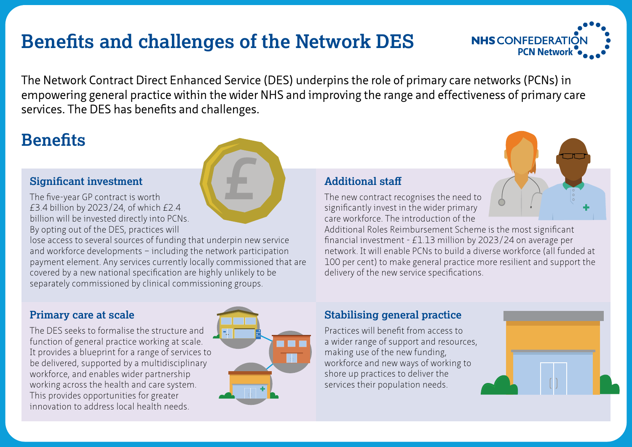# **PEN RETAINTS BENEFITED AND RETAINT AT A RETAINTIER AND RETAINTIER AT A PCN Network**

**£**



The Network Contract Direct Enhanced Service (DES) underpins the role of primary care networks (PCNs) in empowering general practice within the wider NHS and improving the range and effectiveness of primary care services. The DES has benefits and challenges.

## **Benefits**

#### **Significant investment**

The five-year GP contract is worth £3.4 billion by 2023/24, of which £2.4 billion will be invested directly into PCNs. By opting out of the DES, practices will

lose access to several sources of funding that underpin new service and workforce developments – including the network participation payment element. Any services currently locally commissioned that are covered by a new national specification are highly unlikely to be separately commissioned by clinical commissioning groups.

### **Primary care at scale**

The DES seeks to formalise the structure and function of general practice working at scale. It provides a blueprint for a range of services to be delivered, supported by a multidisciplinary workforce, and enables wider partnership working across the health and care system. This provides opportunities for greater innovation to address local health needs.



#### **Additional staff**

The new contract recognises the need to significantly invest in the wider primary care workforce. The introduction of the

Additional Roles Reimbursement Scheme is the most significant financial investment - £1.13 million by 2023/24 on average per network. It will enable PCNs to build a diverse workforce (all funded at 100 per cent) to make general practice more resilient and support the delivery of the new service specifications.

### **Stabilising general practice**

Practices will benefit from access to a wider range of support and resources, making use of the new funding, workforce and new ways of working to shore up practices to deliver the services their population needs.